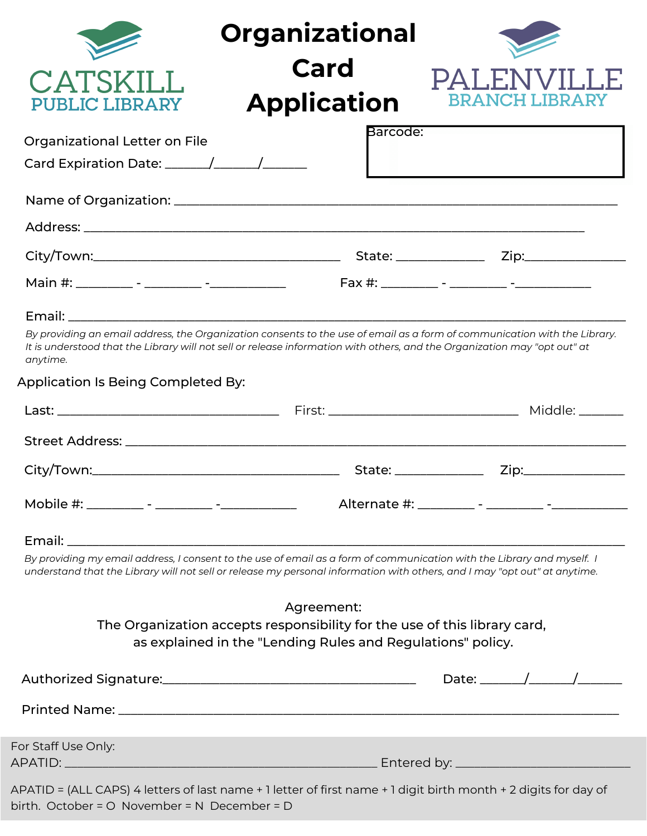|                                                | <b>Organizational</b>                                                                                                                                                                                                                                  |                                                                                                                                                                                                                                                                                                                                                                                                                          |
|------------------------------------------------|--------------------------------------------------------------------------------------------------------------------------------------------------------------------------------------------------------------------------------------------------------|--------------------------------------------------------------------------------------------------------------------------------------------------------------------------------------------------------------------------------------------------------------------------------------------------------------------------------------------------------------------------------------------------------------------------|
| CATSKILL<br><b>PUBLIC LIBRARY</b>              | Card<br><b>Application</b>                                                                                                                                                                                                                             | PALENVILLE<br><b>BRANCH LIBRAR</b>                                                                                                                                                                                                                                                                                                                                                                                       |
| Organizational Letter on File                  | Barcode:                                                                                                                                                                                                                                               |                                                                                                                                                                                                                                                                                                                                                                                                                          |
|                                                |                                                                                                                                                                                                                                                        |                                                                                                                                                                                                                                                                                                                                                                                                                          |
|                                                |                                                                                                                                                                                                                                                        |                                                                                                                                                                                                                                                                                                                                                                                                                          |
|                                                |                                                                                                                                                                                                                                                        |                                                                                                                                                                                                                                                                                                                                                                                                                          |
|                                                |                                                                                                                                                                                                                                                        |                                                                                                                                                                                                                                                                                                                                                                                                                          |
|                                                |                                                                                                                                                                                                                                                        |                                                                                                                                                                                                                                                                                                                                                                                                                          |
| anytime.<br>Application Is Being Completed By: | By providing an email address, the Organization consents to the use of email as a form of communication with the Library.<br>It is understood that the Library will not sell or release information with others, and the Organization may "opt out" at |                                                                                                                                                                                                                                                                                                                                                                                                                          |
|                                                |                                                                                                                                                                                                                                                        |                                                                                                                                                                                                                                                                                                                                                                                                                          |
|                                                |                                                                                                                                                                                                                                                        |                                                                                                                                                                                                                                                                                                                                                                                                                          |
|                                                |                                                                                                                                                                                                                                                        | Zip:_________________                                                                                                                                                                                                                                                                                                                                                                                                    |
|                                                |                                                                                                                                                                                                                                                        |                                                                                                                                                                                                                                                                                                                                                                                                                          |
|                                                |                                                                                                                                                                                                                                                        |                                                                                                                                                                                                                                                                                                                                                                                                                          |
|                                                | By providing my email address, I consent to the use of email as a form of communication with the Library and myself. I<br>understand that the Library will not sell or release my personal information with others, and I may "opt out" at anytime.    |                                                                                                                                                                                                                                                                                                                                                                                                                          |
|                                                | Agreement:                                                                                                                                                                                                                                             |                                                                                                                                                                                                                                                                                                                                                                                                                          |
|                                                | The Organization accepts responsibility for the use of this library card,<br>as explained in the "Lending Rules and Regulations" policy.                                                                                                               |                                                                                                                                                                                                                                                                                                                                                                                                                          |
|                                                |                                                                                                                                                                                                                                                        | Date: $\frac{1}{\sqrt{1-\frac{1}{2}}}\frac{1}{\sqrt{1-\frac{1}{2}}}\frac{1}{\sqrt{1-\frac{1}{2}}}\frac{1}{\sqrt{1-\frac{1}{2}}}\frac{1}{\sqrt{1-\frac{1}{2}}}\frac{1}{\sqrt{1-\frac{1}{2}}}\frac{1}{\sqrt{1-\frac{1}{2}}}\frac{1}{\sqrt{1-\frac{1}{2}}}\frac{1}{\sqrt{1-\frac{1}{2}}}\frac{1}{\sqrt{1-\frac{1}{2}}}\frac{1}{\sqrt{1-\frac{1}{2}}}\frac{1}{\sqrt{1-\frac{1}{2}}}\frac{1}{\sqrt{1-\frac{1}{2}}}\frac{1}{\$ |
|                                                |                                                                                                                                                                                                                                                        |                                                                                                                                                                                                                                                                                                                                                                                                                          |
| For Staff Use Only:                            |                                                                                                                                                                                                                                                        |                                                                                                                                                                                                                                                                                                                                                                                                                          |
|                                                |                                                                                                                                                                                                                                                        |                                                                                                                                                                                                                                                                                                                                                                                                                          |
| birth. October = O November = N December = D   | APATID = (ALL CAPS) 4 letters of last name + 1 letter of first name + 1 digit birth month + 2 digits for day of                                                                                                                                        |                                                                                                                                                                                                                                                                                                                                                                                                                          |